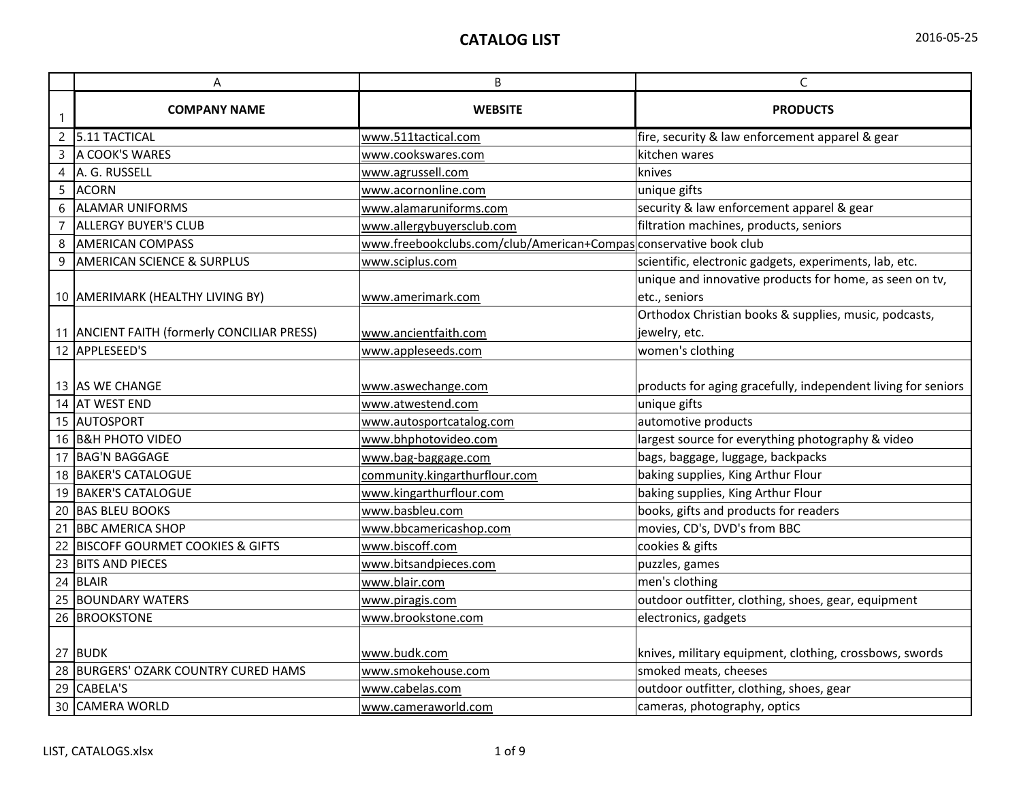|  | 2016-05-25 |  |
|--|------------|--|
|--|------------|--|

|    | Α                                           | B                                                                 | C                                                             |
|----|---------------------------------------------|-------------------------------------------------------------------|---------------------------------------------------------------|
|    | <b>COMPANY NAME</b>                         | <b>WEBSITE</b>                                                    | <b>PRODUCTS</b>                                               |
|    | 2 5.11 TACTICAL                             | www.511tactical.com                                               | fire, security & law enforcement apparel & gear               |
| 3  | A COOK'S WARES                              | www.cookswares.com                                                | kitchen wares                                                 |
| 4  | A. G. RUSSELL                               | www.agrussell.com                                                 | knives                                                        |
| 5  | <b>ACORN</b>                                | www.acornonline.com                                               | unique gifts                                                  |
| 6  | <b>ALAMAR UNIFORMS</b>                      | www.alamaruniforms.com                                            | security & law enforcement apparel & gear                     |
| 7  | <b>ALLERGY BUYER'S CLUB</b>                 | www.allergybuyersclub.com                                         | filtration machines, products, seniors                        |
| 8  | <b>AMERICAN COMPASS</b>                     | www.freebookclubs.com/club/American+Compas conservative book club |                                                               |
| 9  | <b>AMERICAN SCIENCE &amp; SURPLUS</b>       | www.sciplus.com                                                   | scientific, electronic gadgets, experiments, lab, etc.        |
|    |                                             |                                                                   | unique and innovative products for home, as seen on tv,       |
|    | 10 AMERIMARK (HEALTHY LIVING BY)            | www.amerimark.com                                                 | etc., seniors                                                 |
|    |                                             |                                                                   | Orthodox Christian books & supplies, music, podcasts,         |
|    | 11 ANCIENT FAITH (formerly CONCILIAR PRESS) | www.ancientfaith.com                                              | jewelry, etc.                                                 |
|    | 12 APPLESEED'S                              | www.appleseeds.com                                                | women's clothing                                              |
|    |                                             |                                                                   |                                                               |
|    | 13 AS WE CHANGE                             | www.aswechange.com                                                | products for aging gracefully, independent living for seniors |
|    | 14 AT WEST END                              | www.atwestend.com                                                 | unique gifts                                                  |
|    | 15 AUTOSPORT                                | www.autosportcatalog.com                                          | automotive products                                           |
|    | 16 B&H PHOTO VIDEO                          | www.bhphotovideo.com                                              | largest source for everything photography & video             |
|    | 17 BAG'N BAGGAGE                            | www.bag-baggage.com                                               | bags, baggage, luggage, backpacks                             |
|    | 18 BAKER'S CATALOGUE                        | community.kingarthurflour.com                                     | baking supplies, King Arthur Flour                            |
|    | 19 BAKER'S CATALOGUE                        | www.kingarthurflour.com                                           | baking supplies, King Arthur Flour                            |
|    | 20 BAS BLEU BOOKS                           | www.basbleu.com                                                   | books, gifts and products for readers                         |
| 21 | <b>BBC AMERICA SHOP</b>                     | www.bbcamericashop.com                                            | movies, CD's, DVD's from BBC                                  |
|    | 22 BISCOFF GOURMET COOKIES & GIFTS          | www.biscoff.com                                                   | cookies & gifts                                               |
|    | 23 BITS AND PIECES                          | www.bitsandpieces.com                                             | puzzles, games                                                |
|    | $24$ BLAIR                                  | www.blair.com                                                     | men's clothing                                                |
|    | 25 BOUNDARY WATERS                          | www.piragis.com                                                   | outdoor outfitter, clothing, shoes, gear, equipment           |
|    | 26 BROOKSTONE                               | www.brookstone.com                                                | electronics, gadgets                                          |
|    |                                             |                                                                   |                                                               |
|    | 27 BUDK                                     | www.budk.com                                                      | knives, military equipment, clothing, crossbows, swords       |
|    | 28 BURGERS' OZARK COUNTRY CURED HAMS        | www.smokehouse.com                                                | smoked meats, cheeses                                         |
|    | 29 CABELA'S                                 | www.cabelas.com                                                   | outdoor outfitter, clothing, shoes, gear                      |
|    | 30 CAMERA WORLD                             | www.cameraworld.com                                               | cameras, photography, optics                                  |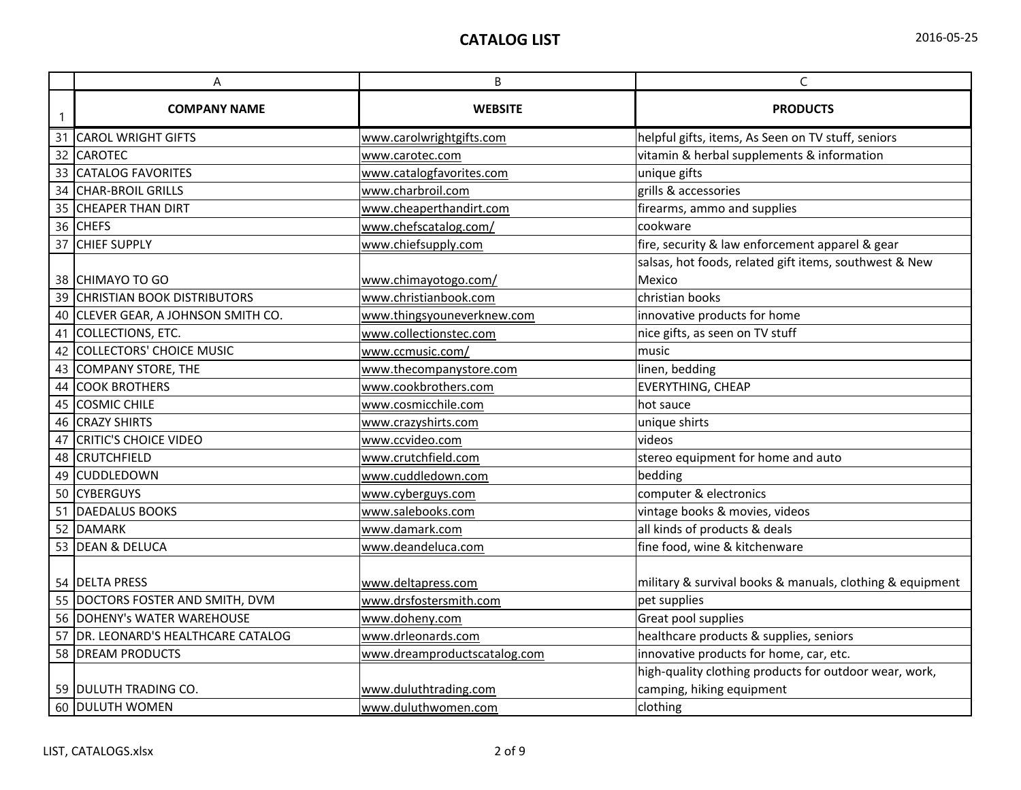|              | А                                   | B                            | $\mathsf{C}$                                              |
|--------------|-------------------------------------|------------------------------|-----------------------------------------------------------|
| $\mathbf{1}$ | <b>COMPANY NAME</b>                 | <b>WEBSITE</b>               | <b>PRODUCTS</b>                                           |
|              | 31 CAROL WRIGHT GIFTS               | www.carolwrightgifts.com     | helpful gifts, items, As Seen on TV stuff, seniors        |
|              | 32 CAROTEC                          | www.carotec.com              | vitamin & herbal supplements & information                |
|              | 33 CATALOG FAVORITES                | www.catalogfavorites.com     | unique gifts                                              |
|              | 34 CHAR-BROIL GRILLS                | www.charbroil.com            | grills & accessories                                      |
|              | 35 CHEAPER THAN DIRT                | www.cheaperthandirt.com      | firearms, ammo and supplies                               |
|              | 36 CHEFS                            | www.chefscatalog.com/        | cookware                                                  |
| 37           | <b>CHIEF SUPPLY</b>                 | www.chiefsupply.com          | fire, security & law enforcement apparel & gear           |
|              |                                     |                              | salsas, hot foods, related gift items, southwest & New    |
|              | 38 CHIMAYO TO GO                    | www.chimayotogo.com/         | Mexico                                                    |
|              | 39 CHRISTIAN BOOK DISTRIBUTORS      | www.christianbook.com        | christian books                                           |
|              | 40 CLEVER GEAR, A JOHNSON SMITH CO. | www.thingsyouneverknew.com   | innovative products for home                              |
| 41           | COLLECTIONS, ETC.                   | www.collectionstec.com       | nice gifts, as seen on TV stuff                           |
|              | 42 COLLECTORS' CHOICE MUSIC         | www.ccmusic.com/             | music                                                     |
|              | 43 COMPANY STORE, THE               | www.thecompanystore.com      | linen, bedding                                            |
|              | 44 COOK BROTHERS                    | www.cookbrothers.com         | <b>EVERYTHING, CHEAP</b>                                  |
|              | 45 COSMIC CHILE                     | www.cosmicchile.com          | hot sauce                                                 |
|              | 46 CRAZY SHIRTS                     | www.crazyshirts.com          | unique shirts                                             |
|              | 47 CRITIC'S CHOICE VIDEO            | www.ccvideo.com              | videos                                                    |
|              | 48 CRUTCHFIELD                      | www.crutchfield.com          | stereo equipment for home and auto                        |
|              | 49 CUDDLEDOWN                       | www.cuddledown.com           | bedding                                                   |
|              | 50 CYBERGUYS                        | www.cyberguys.com            | computer & electronics                                    |
|              | 51 DAEDALUS BOOKS                   | www.salebooks.com            | vintage books & movies, videos                            |
|              | 52 DAMARK                           | www.damark.com               | all kinds of products & deals                             |
|              | 53 DEAN & DELUCA                    | www.deandeluca.com           | fine food, wine & kitchenware                             |
|              | 54 DELTA PRESS                      | www.deltapress.com           | military & survival books & manuals, clothing & equipment |
|              | 55 DOCTORS FOSTER AND SMITH, DVM    | www.drsfostersmith.com       | pet supplies                                              |
|              | 56 DOHENY's WATER WAREHOUSE         | www.doheny.com               | Great pool supplies                                       |
|              | 57 DR. LEONARD'S HEALTHCARE CATALOG | www.drleonards.com           | healthcare products & supplies, seniors                   |
|              | 58 DREAM PRODUCTS                   | www.dreamproductscatalog.com | innovative products for home, car, etc.                   |
|              |                                     |                              | high-quality clothing products for outdoor wear, work,    |
|              | 59 DULUTH TRADING CO.               | www.duluthtrading.com        | camping, hiking equipment                                 |
|              | 60 DULUTH WOMEN                     | www.duluthwomen.com          | clothing                                                  |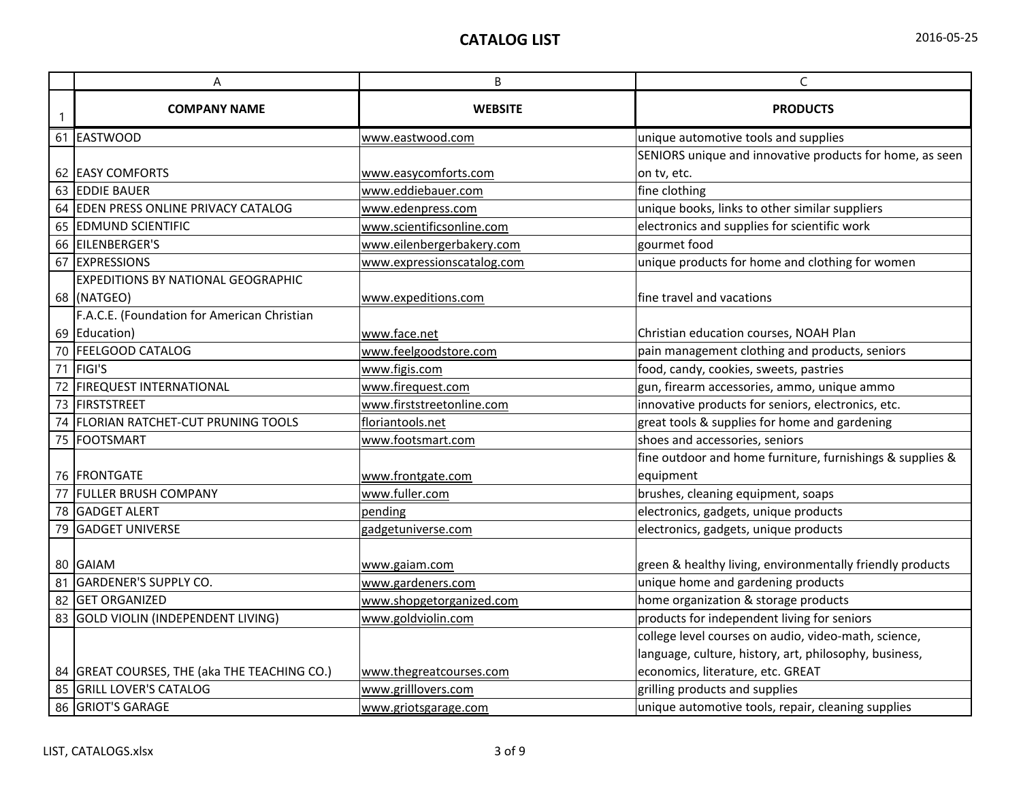|  | 2016-05-25 |
|--|------------|
|--|------------|

|    | Α                                            | В                          | C                                                         |
|----|----------------------------------------------|----------------------------|-----------------------------------------------------------|
|    | <b>COMPANY NAME</b>                          | <b>WEBSITE</b>             | <b>PRODUCTS</b>                                           |
| 61 | EASTWOOD                                     | www.eastwood.com           | unique automotive tools and supplies                      |
|    |                                              |                            | SENIORS unique and innovative products for home, as seen  |
|    | 62 EASY COMFORTS                             | www.easycomforts.com       | on tv, etc.                                               |
| 63 | <b>EDDIE BAUER</b>                           | www.eddiebauer.com         | fine clothing                                             |
| 64 | <b>EDEN PRESS ONLINE PRIVACY CATALOG</b>     | www.edenpress.com          | unique books, links to other similar suppliers            |
|    | 65 EDMUND SCIENTIFIC                         | www.scientificsonline.com  | electronics and supplies for scientific work              |
| 66 | EILENBERGER'S                                | www.eilenbergerbakery.com  | gourmet food                                              |
| 67 | <b>EXPRESSIONS</b>                           | www.expressionscatalog.com | unique products for home and clothing for women           |
|    | <b>EXPEDITIONS BY NATIONAL GEOGRAPHIC</b>    |                            |                                                           |
|    | 68 (NATGEO)                                  | www.expeditions.com        | fine travel and vacations                                 |
|    | F.A.C.E. (Foundation for American Christian  |                            |                                                           |
|    | 69 Education)                                | www.face.net               | Christian education courses, NOAH Plan                    |
| 70 | <b>FEELGOOD CATALOG</b>                      | www.feelgoodstore.com      | pain management clothing and products, seniors            |
| 71 | FIGI'S                                       | www.figis.com              | food, candy, cookies, sweets, pastries                    |
|    | <b>FIREQUEST INTERNATIONAL</b>               | www.firequest.com          | gun, firearm accessories, ammo, unique ammo               |
| 73 | FIRSTSTREET                                  | www.firststreetonline.com  | innovative products for seniors, electronics, etc.        |
| 74 | <b>FLORIAN RATCHET-CUT PRUNING TOOLS</b>     | floriantools.net           | great tools & supplies for home and gardening             |
|    | 75 FOOTSMART                                 | www.footsmart.com          | shoes and accessories, seniors                            |
|    |                                              |                            | fine outdoor and home furniture, furnishings & supplies & |
|    | <b>76 IFRONTGATE</b>                         | www.frontgate.com          | equipment                                                 |
| 77 | <b>FULLER BRUSH COMPANY</b>                  | www.fuller.com             | brushes, cleaning equipment, soaps                        |
| 78 | <b>GADGET ALERT</b>                          | pending                    | electronics, gadgets, unique products                     |
| 79 | <b>GADGET UNIVERSE</b>                       | gadgetuniverse.com         | electronics, gadgets, unique products                     |
|    |                                              |                            |                                                           |
|    | 80 GAIAM                                     | www.gaiam.com              | green & healthy living, environmentally friendly products |
| 81 | <b>GARDENER'S SUPPLY CO.</b>                 | www.gardeners.com          | unique home and gardening products                        |
| 82 | <b>GET ORGANIZED</b>                         | www.shopgetorganized.com   | home organization & storage products                      |
|    | 83 GOLD VIOLIN (INDEPENDENT LIVING)          | www.goldviolin.com         | products for independent living for seniors               |
|    |                                              |                            | college level courses on audio, video-math, science,      |
|    |                                              |                            | language, culture, history, art, philosophy, business,    |
|    | 84 GREAT COURSES, THE (aka THE TEACHING CO.) | www.thegreatcourses.com    | economics, literature, etc. GREAT                         |
| 85 | <b>GRILL LOVER'S CATALOG</b>                 | www.grilllovers.com        | grilling products and supplies                            |
| 86 | <b>GRIOT'S GARAGE</b>                        | www.griotsgarage.com       | unique automotive tools, repair, cleaning supplies        |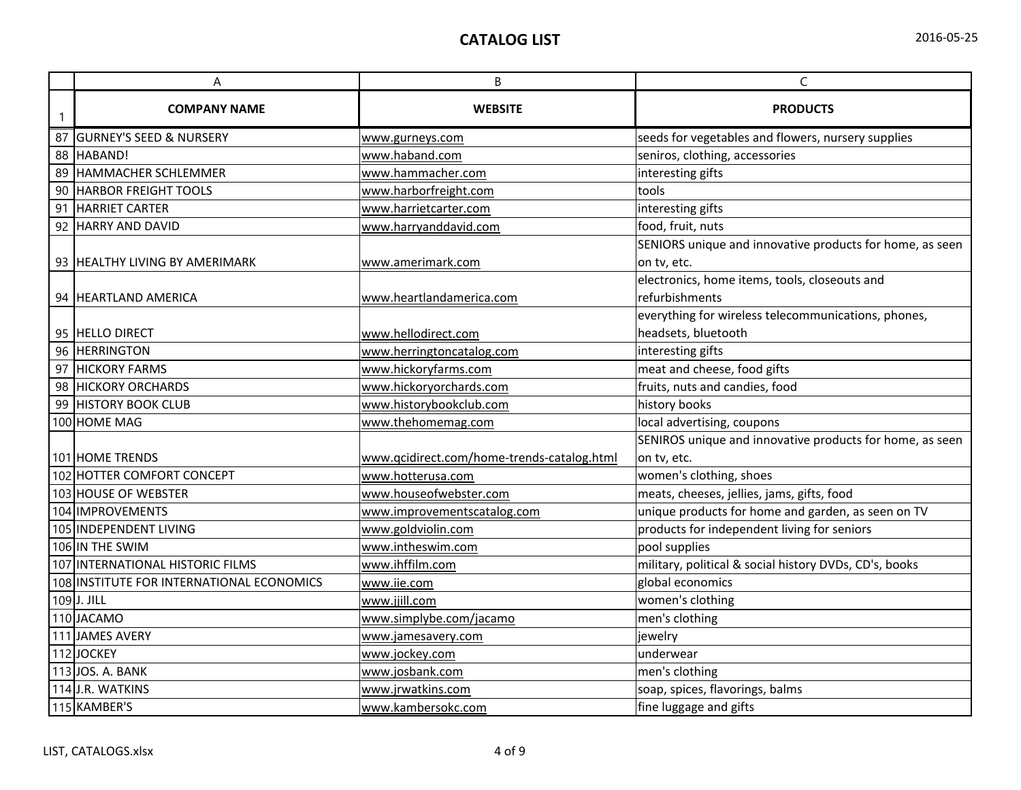|    | A                                         | $\sf B$                                    | $\mathsf C$                                                  |
|----|-------------------------------------------|--------------------------------------------|--------------------------------------------------------------|
| -1 | <b>COMPANY NAME</b>                       | <b>WEBSITE</b>                             | <b>PRODUCTS</b>                                              |
|    | 87 GURNEY'S SEED & NURSERY                | www.gurneys.com                            | seeds for vegetables and flowers, nursery supplies           |
|    | 88 HABAND!                                | www.haband.com                             | seniros, clothing, accessories                               |
|    | 89 HAMMACHER SCHLEMMER                    | www.hammacher.com                          | interesting gifts                                            |
|    | 90 HARBOR FREIGHT TOOLS                   | www.harborfreight.com                      | tools                                                        |
|    | 91 HARRIET CARTER                         | www.harrietcarter.com                      | interesting gifts                                            |
|    | 92 HARRY AND DAVID                        | www.harryanddavid.com                      | food, fruit, nuts                                            |
|    | 93 HEALTHY LIVING BY AMERIMARK            |                                            | SENIORS unique and innovative products for home, as seen     |
|    |                                           | www.amerimark.com                          | on tv, etc.<br>electronics, home items, tools, closeouts and |
|    | 94 HEARTLAND AMERICA                      | www.heartlandamerica.com                   | refurbishments                                               |
|    |                                           |                                            | everything for wireless telecommunications, phones,          |
|    | 95 <b>HELLO DIRECT</b>                    | www.hellodirect.com                        | headsets, bluetooth                                          |
|    | 96 HERRINGTON                             | www.herringtoncatalog.com                  | interesting gifts                                            |
|    | 97 HICKORY FARMS                          | www.hickoryfarms.com                       | meat and cheese, food gifts                                  |
|    | 98 HICKORY ORCHARDS                       | www.hickoryorchards.com                    | fruits, nuts and candies, food                               |
|    | 99 HISTORY BOOK CLUB                      | www.historybookclub.com                    | history books                                                |
|    | 100 HOME MAG                              | www.thehomemag.com                         | local advertising, coupons                                   |
|    |                                           |                                            | SENIROS unique and innovative products for home, as seen     |
|    | <b>101 HOME TRENDS</b>                    | www.qcidirect.com/home-trends-catalog.html | on tv, etc.                                                  |
|    | 102 HOTTER COMFORT CONCEPT                | www.hotterusa.com                          | women's clothing, shoes                                      |
|    | 103 HOUSE OF WEBSTER                      | www.houseofwebster.com                     | meats, cheeses, jellies, jams, gifts, food                   |
|    | 104 IMPROVEMENTS                          | www.improvementscatalog.com                | unique products for home and garden, as seen on TV           |
|    | 105 INDEPENDENT LIVING                    | www.goldviolin.com                         | products for independent living for seniors                  |
|    | 106 IN THE SWIM                           | www.intheswim.com                          | pool supplies                                                |
|    | 107 INTERNATIONAL HISTORIC FILMS          | www.ihffilm.com                            | military, political & social history DVDs, CD's, books       |
|    | 108 INSTITUTE FOR INTERNATIONAL ECONOMICS | www.iie.com                                | global economics                                             |
|    | $109$ J. JILL                             | www.jjill.com                              | women's clothing                                             |
|    | 110JACAMO                                 | www.simplybe.com/jacamo                    | men's clothing                                               |
|    | 111 JAMES AVERY                           | www.jamesavery.com                         | jewelry                                                      |
|    | 112JOCKEY                                 | www.jockey.com                             | underwear                                                    |
|    | 113 JOS. A. BANK                          | www.josbank.com                            | men's clothing                                               |
|    | 114 J.R. WATKINS                          | www.jrwatkins.com                          | soap, spices, flavorings, balms                              |
|    | 115 KAMBER'S                              | www.kambersokc.com                         | fine luggage and gifts                                       |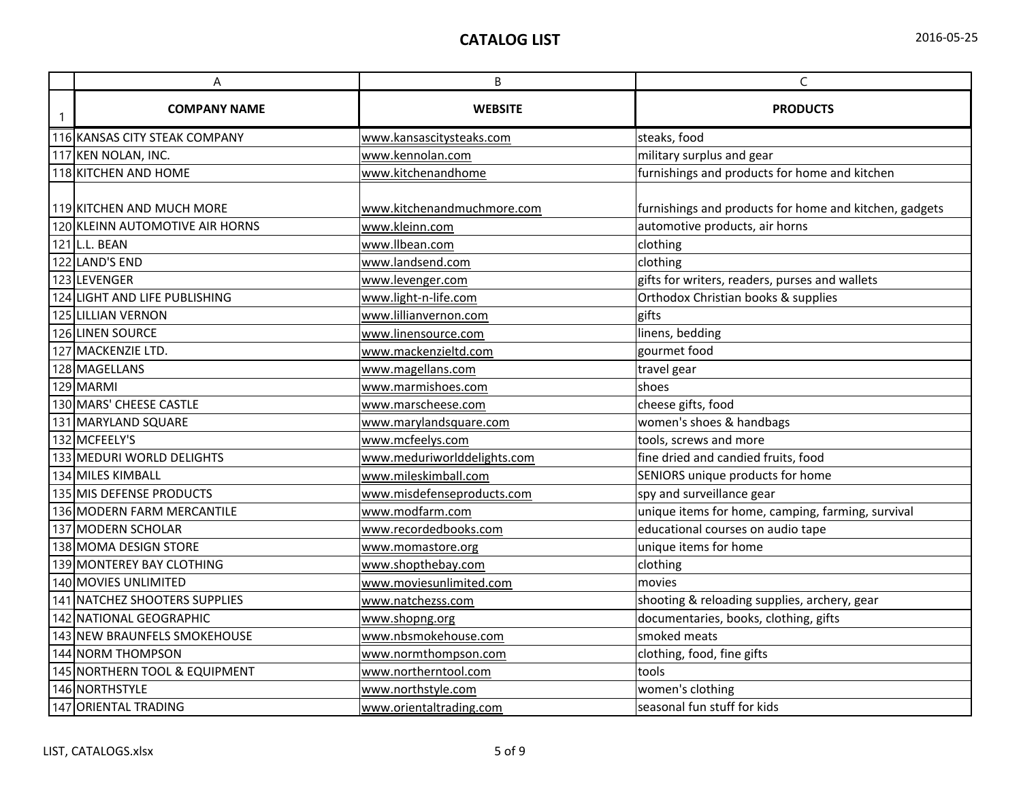| A                               | B                           | $\mathsf C$                                            |
|---------------------------------|-----------------------------|--------------------------------------------------------|
| <b>COMPANY NAME</b>             | <b>WEBSITE</b>              | <b>PRODUCTS</b>                                        |
| 116 KANSAS CITY STEAK COMPANY   | www.kansascitysteaks.com    | steaks, food                                           |
| 117 KEN NOLAN, INC.             | www.kennolan.com            | military surplus and gear                              |
| 118 KITCHEN AND HOME            | www.kitchenandhome          | furnishings and products for home and kitchen          |
| 119 KITCHEN AND MUCH MORE       | www.kitchenandmuchmore.com  | furnishings and products for home and kitchen, gadgets |
| 120 KLEINN AUTOMOTIVE AIR HORNS | www.kleinn.com              | automotive products, air horns                         |
| 121L.L. BEAN                    | www.llbean.com              | clothing                                               |
| 122 LAND'S END                  | www.landsend.com            | clothing                                               |
| 123 LEVENGER                    | www.levenger.com            | gifts for writers, readers, purses and wallets         |
| 124 LIGHT AND LIFE PUBLISHING   | www.light-n-life.com        | Orthodox Christian books & supplies                    |
| 125 LILLIAN VERNON              | www.lillianvernon.com       | gifts                                                  |
| 126 LINEN SOURCE                | www.linensource.com         | linens, bedding                                        |
| 127 MACKENZIE LTD.              | www.mackenzieltd.com        | gourmet food                                           |
| 128 MAGELLANS                   | www.magellans.com           | travel gear                                            |
| 129 MARMI                       | www.marmishoes.com          | shoes                                                  |
| 130 MARS' CHEESE CASTLE         | www.marscheese.com          | cheese gifts, food                                     |
| 131 MARYLAND SQUARE             | www.marylandsquare.com      | women's shoes & handbags                               |
| 132 MCFEELY'S                   | www.mcfeelys.com            | tools, screws and more                                 |
| 133 MEDURI WORLD DELIGHTS       | www.meduriworlddelights.com | fine dried and candied fruits, food                    |
| 134 MILES KIMBALL               | www.mileskimball.com        | SENIORS unique products for home                       |
| 135 MIS DEFENSE PRODUCTS        | www.misdefenseproducts.com  | spy and surveillance gear                              |
| 136 MODERN FARM MERCANTILE      | www.modfarm.com             | unique items for home, camping, farming, survival      |
| 137 MODERN SCHOLAR              | www.recordedbooks.com       | educational courses on audio tape                      |
| 138 MOMA DESIGN STORE           | www.momastore.org           | unique items for home                                  |
| 139 MONTEREY BAY CLOTHING       | www.shopthebay.com          | clothing                                               |
| 140 MOVIES UNLIMITED            | www.moviesunlimited.com     | movies                                                 |
| 141 NATCHEZ SHOOTERS SUPPLIES   | www.natchezss.com           | shooting & reloading supplies, archery, gear           |
| 142 NATIONAL GEOGRAPHIC         | www.shopng.org              | documentaries, books, clothing, gifts                  |
| 143 NEW BRAUNFELS SMOKEHOUSE    | www.nbsmokehouse.com        | smoked meats                                           |
| 144 NORM THOMPSON               | www.normthompson.com        | clothing, food, fine gifts                             |
| 145 NORTHERN TOOL & EQUIPMENT   | www.northerntool.com        | tools                                                  |
| 146 NORTHSTYLE                  | www.northstyle.com          | women's clothing                                       |
| 147 ORIENTAL TRADING            | www.orientaltrading.com     | seasonal fun stuff for kids                            |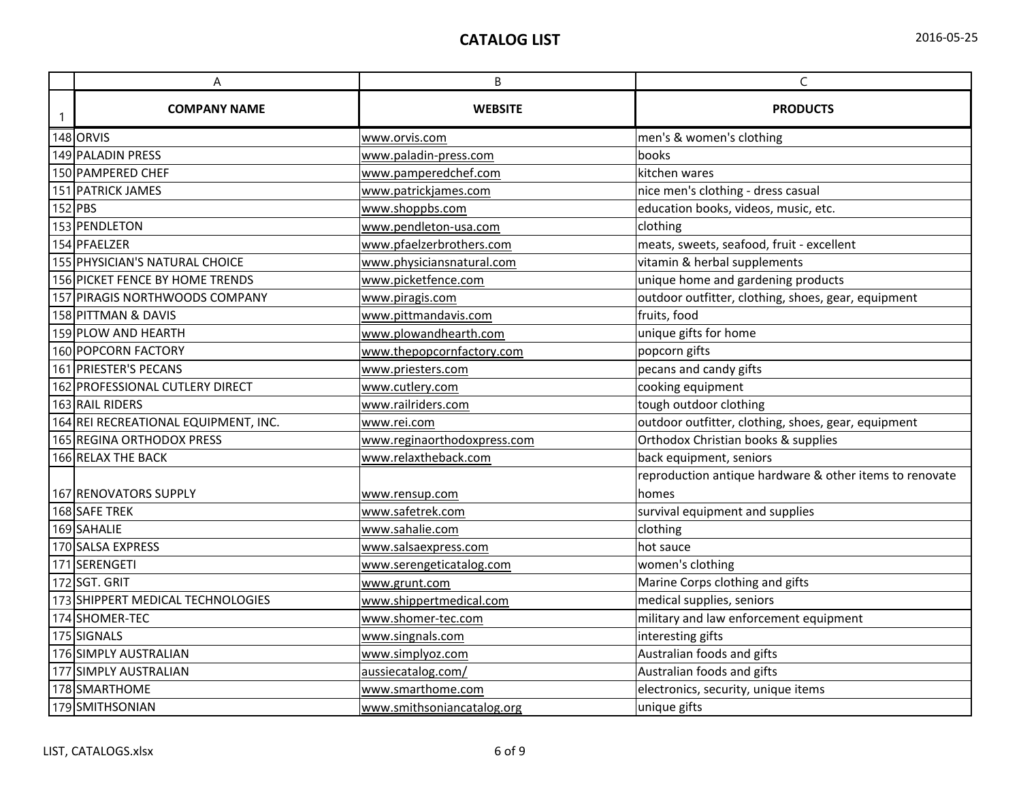| 2016-05-25 |  |
|------------|--|
|------------|--|

|   | A                                    | B                           | $\mathsf C$                                             |
|---|--------------------------------------|-----------------------------|---------------------------------------------------------|
| 1 | <b>COMPANY NAME</b>                  | <b>WEBSITE</b>              | <b>PRODUCTS</b>                                         |
|   | 148 ORVIS                            | www.orvis.com               | men's & women's clothing                                |
|   | 149 PALADIN PRESS                    | www.paladin-press.com       | books                                                   |
|   | 150 PAMPERED CHEF                    | www.pamperedchef.com        | kitchen wares                                           |
|   | 151 PATRICK JAMES                    | www.patrickjames.com        | nice men's clothing - dress casual                      |
|   | $152$ PBS                            | www.shoppbs.com             | education books, videos, music, etc.                    |
|   | 153 PENDLETON                        | www.pendleton-usa.com       | clothing                                                |
|   | 154 PFAELZER                         | www.pfaelzerbrothers.com    | meats, sweets, seafood, fruit - excellent               |
|   | 155 PHYSICIAN'S NATURAL CHOICE       | www.physiciansnatural.com   | vitamin & herbal supplements                            |
|   | 156 PICKET FENCE BY HOME TRENDS      | www.picketfence.com         | unique home and gardening products                      |
|   | 157 PIRAGIS NORTHWOODS COMPANY       | www.piragis.com             | outdoor outfitter, clothing, shoes, gear, equipment     |
|   | 158 PITTMAN & DAVIS                  | www.pittmandavis.com        | fruits, food                                            |
|   | 159 PLOW AND HEARTH                  | www.plowandhearth.com       | unique gifts for home                                   |
|   | 160 POPCORN FACTORY                  | www.thepopcornfactory.com   | popcorn gifts                                           |
|   | 161 PRIESTER'S PECANS                | www.priesters.com           | pecans and candy gifts                                  |
|   | 162 PROFESSIONAL CUTLERY DIRECT      | www.cutlery.com             | cooking equipment                                       |
|   | 163 RAIL RIDERS                      | www.railriders.com          | tough outdoor clothing                                  |
|   | 164 REI RECREATIONAL EQUIPMENT, INC. | www.rei.com                 | outdoor outfitter, clothing, shoes, gear, equipment     |
|   | <b>165 REGINA ORTHODOX PRESS</b>     | www.reginaorthodoxpress.com | Orthodox Christian books & supplies                     |
|   | 166 RELAX THE BACK                   | www.relaxtheback.com        | back equipment, seniors                                 |
|   |                                      |                             | reproduction antique hardware & other items to renovate |
|   | 167 RENOVATORS SUPPLY                | www.rensup.com              | homes                                                   |
|   | 168 SAFE TREK                        | www.safetrek.com            | survival equipment and supplies                         |
|   | 169 SAHALIE                          | www.sahalie.com             | clothing                                                |
|   | 170 SALSA EXPRESS                    | www.salsaexpress.com        | hot sauce                                               |
|   | 171 SERENGETI                        | www.serengeticatalog.com    | women's clothing                                        |
|   | 172 SGT. GRIT                        | www.grunt.com               | Marine Corps clothing and gifts                         |
|   | 173 SHIPPERT MEDICAL TECHNOLOGIES    | www.shippertmedical.com     | medical supplies, seniors                               |
|   | 174 SHOMER-TEC                       | www.shomer-tec.com          | military and law enforcement equipment                  |
|   | 175 SIGNALS                          | www.singnals.com            | interesting gifts                                       |
|   | 176 SIMPLY AUSTRALIAN                | www.simplyoz.com            | Australian foods and gifts                              |
|   | 177 SIMPLY AUSTRALIAN                | aussiecatalog.com/          | Australian foods and gifts                              |
|   | 178 SMARTHOME                        | www.smarthome.com           | electronics, security, unique items                     |
|   | 179 SMITHSONIAN                      | www.smithsoniancatalog.org  | unique gifts                                            |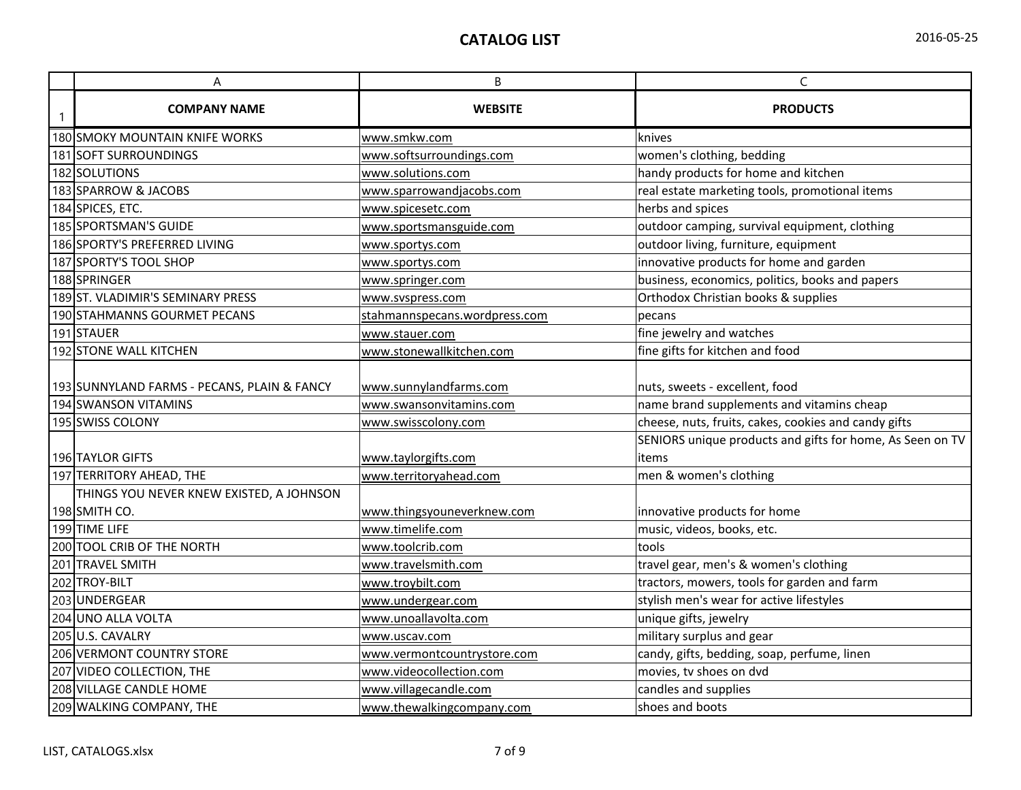|  | 2016-05-25 |  |
|--|------------|--|
|--|------------|--|

| A                                           | B                             | $\mathsf C$                                               |
|---------------------------------------------|-------------------------------|-----------------------------------------------------------|
| <b>COMPANY NAME</b>                         | <b>WEBSITE</b>                | <b>PRODUCTS</b>                                           |
| 180 SMOKY MOUNTAIN KNIFE WORKS              | www.smkw.com                  | knives                                                    |
| 181 SOFT SURROUNDINGS                       | www.softsurroundings.com      | women's clothing, bedding                                 |
| 182 SOLUTIONS                               | www.solutions.com             | handy products for home and kitchen                       |
| 183 SPARROW & JACOBS                        | www.sparrowandjacobs.com      | real estate marketing tools, promotional items            |
| 184 SPICES, ETC.                            | www.spicesetc.com             | herbs and spices                                          |
| 185 SPORTSMAN'S GUIDE                       | www.sportsmansguide.com       | outdoor camping, survival equipment, clothing             |
| 186 SPORTY'S PREFERRED LIVING               | www.sportys.com               | outdoor living, furniture, equipment                      |
| 187 SPORTY'S TOOL SHOP                      | www.sportys.com               | innovative products for home and garden                   |
| 188 SPRINGER                                | www.springer.com              | business, economics, politics, books and papers           |
| 189ST. VLADIMIR'S SEMINARY PRESS            | www.svspress.com              | Orthodox Christian books & supplies                       |
| 190 STAHMANNS GOURMET PECANS                | stahmannspecans.wordpress.com | pecans                                                    |
| 191STAUER                                   | www.stauer.com                | fine jewelry and watches                                  |
| 192 STONE WALL KITCHEN                      | www.stonewallkitchen.com      | fine gifts for kitchen and food                           |
| 193 SUNNYLAND FARMS - PECANS, PLAIN & FANCY | www.sunnylandfarms.com        | nuts, sweets - excellent, food                            |
| 194 SWANSON VITAMINS                        | www.swansonvitamins.com       | name brand supplements and vitamins cheap                 |
| 195 SWISS COLONY                            | www.swisscolony.com           | cheese, nuts, fruits, cakes, cookies and candy gifts      |
|                                             |                               | SENIORS unique products and gifts for home, As Seen on TV |
| 196 TAYLOR GIFTS                            | www.taylorgifts.com           | items                                                     |
| 197 TERRITORY AHEAD, THE                    | www.territoryahead.com        | men & women's clothing                                    |
| THINGS YOU NEVER KNEW EXISTED, A JOHNSON    |                               |                                                           |
| 198 SMITH CO.                               | www.thingsyouneverknew.com    | innovative products for home                              |
| 199 TIME LIFE                               | www.timelife.com              | music, videos, books, etc.                                |
| 200 TOOL CRIB OF THE NORTH                  | www.toolcrib.com              | tools                                                     |
| 201 TRAVEL SMITH                            | www.travelsmith.com           | travel gear, men's & women's clothing                     |
| 202 TROY-BILT                               | www.troybilt.com              | tractors, mowers, tools for garden and farm               |
| 203 UNDERGEAR                               | www.undergear.com             | stylish men's wear for active lifestyles                  |
| 204 UNO ALLA VOLTA                          | www.unoallavolta.com          | unique gifts, jewelry                                     |
| 205 U.S. CAVALRY                            | www.uscav.com                 | military surplus and gear                                 |
| 206 VERMONT COUNTRY STORE                   | www.vermontcountrystore.com   | candy, gifts, bedding, soap, perfume, linen               |
| 207 VIDEO COLLECTION, THE                   | www.videocollection.com       | movies, tv shoes on dvd                                   |
| 208 VILLAGE CANDLE HOME                     | www.villagecandle.com         | candles and supplies                                      |
| 209 WALKING COMPANY, THE                    | www.thewalkingcompany.com     | shoes and boots                                           |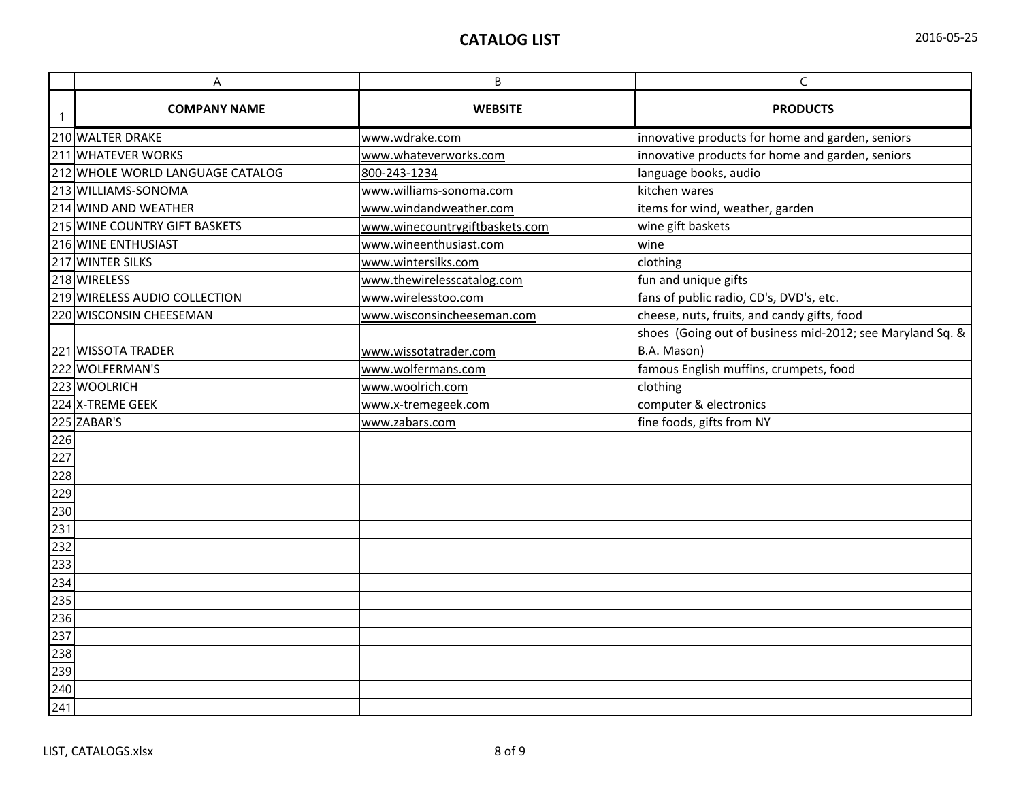| 2016-05-25 |  |
|------------|--|
|------------|--|

|                  | A                                | B                              | $\mathsf{C}$                                              |
|------------------|----------------------------------|--------------------------------|-----------------------------------------------------------|
|                  | <b>COMPANY NAME</b>              | <b>WEBSITE</b>                 | <b>PRODUCTS</b>                                           |
|                  | 210 WALTER DRAKE                 | www.wdrake.com                 | innovative products for home and garden, seniors          |
|                  | 211 WHATEVER WORKS               | www.whateverworks.com          | innovative products for home and garden, seniors          |
|                  | 212 WHOLE WORLD LANGUAGE CATALOG | 800-243-1234                   | language books, audio                                     |
|                  | 213 WILLIAMS-SONOMA              | www.williams-sonoma.com        | kitchen wares                                             |
|                  | 214 WIND AND WEATHER             | www.windandweather.com         | items for wind, weather, garden                           |
|                  | 215 WINE COUNTRY GIFT BASKETS    | www.winecountrygiftbaskets.com | wine gift baskets                                         |
|                  | 216 WINE ENTHUSIAST              | www.wineenthusiast.com         | wine                                                      |
|                  | 217 WINTER SILKS                 | www.wintersilks.com            | clothing                                                  |
|                  | 218 WIRELESS                     | www.thewirelesscatalog.com     | fun and unique gifts                                      |
|                  | 219 WIRELESS AUDIO COLLECTION    | www.wirelesstoo.com            | fans of public radio, CD's, DVD's, etc.                   |
|                  | 220 WISCONSIN CHEESEMAN          | www.wisconsincheeseman.com     | cheese, nuts, fruits, and candy gifts, food               |
|                  |                                  |                                | shoes (Going out of business mid-2012; see Maryland Sq. & |
|                  | 221 WISSOTA TRADER               | www.wissotatrader.com          | B.A. Mason)                                               |
|                  | 222 WOLFERMAN'S                  | www.wolfermans.com             | famous English muffins, crumpets, food                    |
|                  | 223 WOOLRICH                     | www.woolrich.com               | clothing                                                  |
|                  | 224 X-TREME GEEK                 | www.x-tremegeek.com            | computer & electronics                                    |
|                  | 225 ZABAR'S                      | www.zabars.com                 | fine foods, gifts from NY                                 |
| 226              |                                  |                                |                                                           |
| 227              |                                  |                                |                                                           |
| 228              |                                  |                                |                                                           |
| 229              |                                  |                                |                                                           |
| 230              |                                  |                                |                                                           |
| 231              |                                  |                                |                                                           |
| 232              |                                  |                                |                                                           |
| $\overline{233}$ |                                  |                                |                                                           |
| 234              |                                  |                                |                                                           |
| 235<br>236       |                                  |                                |                                                           |
|                  |                                  |                                |                                                           |
| 237              |                                  |                                |                                                           |
| 238              |                                  |                                |                                                           |
| 239              |                                  |                                |                                                           |
| 240              |                                  |                                |                                                           |
| 241              |                                  |                                |                                                           |